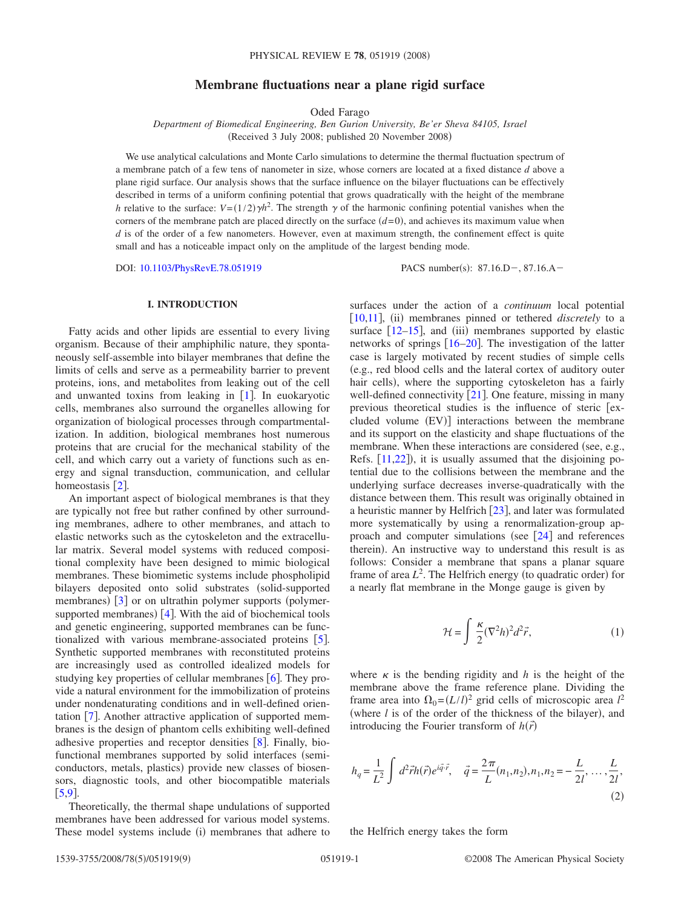# **Membrane fluctuations near a plane rigid surface**

Oded Farago

*Department of Biomedical Engineering, Ben Gurion University, Be'er Sheva 84105, Israel* (Received 3 July 2008; published 20 November 2008)

We use analytical calculations and Monte Carlo simulations to determine the thermal fluctuation spectrum of a membrane patch of a few tens of nanometer in size, whose corners are located at a fixed distance *d* above a plane rigid surface. Our analysis shows that the surface influence on the bilayer fluctuations can be effectively described in terms of a uniform confining potential that grows quadratically with the height of the membrane *h* relative to the surface:  $V = (1/2)\gamma h^2$ . The strength  $\gamma$  of the harmonic confining potential vanishes when the corners of the membrane patch are placed directly on the surface  $(d=0)$ , and achieves its maximum value when *d* is of the order of a few nanometers. However, even at maximum strength, the confinement effect is quite small and has a noticeable impact only on the amplitude of the largest bending mode.

DOI: [10.1103/PhysRevE.78.051919](http://dx.doi.org/10.1103/PhysRevE.78.051919)

 $: 87.16 \text{.}D - 0.87.16 \text{.}A -$ 

## **I. INTRODUCTION**

Fatty acids and other lipids are essential to every living organism. Because of their amphiphilic nature, they spontaneously self-assemble into bilayer membranes that define the limits of cells and serve as a permeability barrier to prevent proteins, ions, and metabolites from leaking out of the cell and unwanted toxins from leaking in  $[1]$  $[1]$  $[1]$ . In euokaryotic cells, membranes also surround the organelles allowing for organization of biological processes through compartmentalization. In addition, biological membranes host numerous proteins that are crucial for the mechanical stability of the cell, and which carry out a variety of functions such as energy and signal transduction, communication, and cellular homeostasis  $\lceil 2 \rceil$  $\lceil 2 \rceil$  $\lceil 2 \rceil$ .

An important aspect of biological membranes is that they are typically not free but rather confined by other surrounding membranes, adhere to other membranes, and attach to elastic networks such as the cytoskeleton and the extracellular matrix. Several model systems with reduced compositional complexity have been designed to mimic biological membranes. These biomimetic systems include phospholipid bilayers deposited onto solid substrates (solid-supported membranes) [[3](#page-7-2)] or on ultrathin polymer supports (polymersupported membranes)  $[4]$  $[4]$  $[4]$ . With the aid of biochemical tools and genetic engineering, supported membranes can be func-tionalized with various membrane-associated proteins [[5](#page-7-4)]. Synthetic supported membranes with reconstituted proteins are increasingly used as controlled idealized models for studying key properties of cellular membranes  $\lceil 6 \rceil$  $\lceil 6 \rceil$  $\lceil 6 \rceil$ . They provide a natural environment for the immobilization of proteins under nondenaturating conditions and in well-defined orientation  $[7]$  $[7]$  $[7]$ . Another attractive application of supported membranes is the design of phantom cells exhibiting well-defined adhesive properties and receptor densities  $[8]$  $[8]$  $[8]$ . Finally, biofunctional membranes supported by solid interfaces (semiconductors, metals, plastics) provide new classes of biosensors, diagnostic tools, and other biocompatible materials  $[5, 9]$  $[5, 9]$  $[5, 9]$ .

Theoretically, the thermal shape undulations of supported membranes have been addressed for various model systems. These model systems include (i) membranes that adhere to

surfaces under the action of a *continuum* local potential [[10,](#page-7-9)[11](#page-7-10)], (ii) membranes pinned or tethered *discretely* to a surface  $[12-15]$  $[12-15]$  $[12-15]$ , and (iii) membranes supported by elastic networks of springs  $[16–20]$  $[16–20]$  $[16–20]$  $[16–20]$ . The investigation of the latter case is largely motivated by recent studies of simple cells e.g., red blood cells and the lateral cortex of auditory outer hair cells), where the supporting cytoskeleton has a fairly well-defined connectivity  $[21]$  $[21]$  $[21]$ . One feature, missing in many previous theoretical studies is the influence of steric [excluded volume (EV)] interactions between the membrane and its support on the elasticity and shape fluctuations of the membrane. When these interactions are considered (see, e.g., Refs.  $[11,22]$  $[11,22]$  $[11,22]$  $[11,22]$ ), it is usually assumed that the disjoining potential due to the collisions between the membrane and the underlying surface decreases inverse-quadratically with the distance between them. This result was originally obtained in a heuristic manner by Helfrich  $[23]$  $[23]$  $[23]$ , and later was formulated more systematically by using a renormalization-group approach and computer simulations (see  $[24]$  $[24]$  $[24]$  and references therein). An instructive way to understand this result is as follows: Consider a membrane that spans a planar square frame of area  $L^2$ . The Helfrich energy (to quadratic order) for a nearly flat membrane in the Monge gauge is given by

$$
\mathcal{H} = \int \frac{\kappa}{2} (\nabla^2 h)^2 d^2 \vec{r}, \qquad (1)
$$

<span id="page-0-0"></span>where  $\kappa$  is the bending rigidity and *h* is the height of the membrane above the frame reference plane. Dividing the frame area into  $\Omega_0 = (L/l)^2$  grid cells of microscopic area  $l^2$ (where  $l$  is of the order of the thickness of the bilayer), and introducing the Fourier transform of  $h(\vec{r})$ 

$$
h_q = \frac{1}{L^2} \int d^2 \vec{r} h(\vec{r}) e^{i\vec{q}\cdot\vec{r}}, \quad \vec{q} = \frac{2\pi}{L} (n_1, n_2), n_1, n_2 = -\frac{L}{2l}, \dots, \frac{L}{2l},
$$
\n(2)

the Helfrich energy takes the form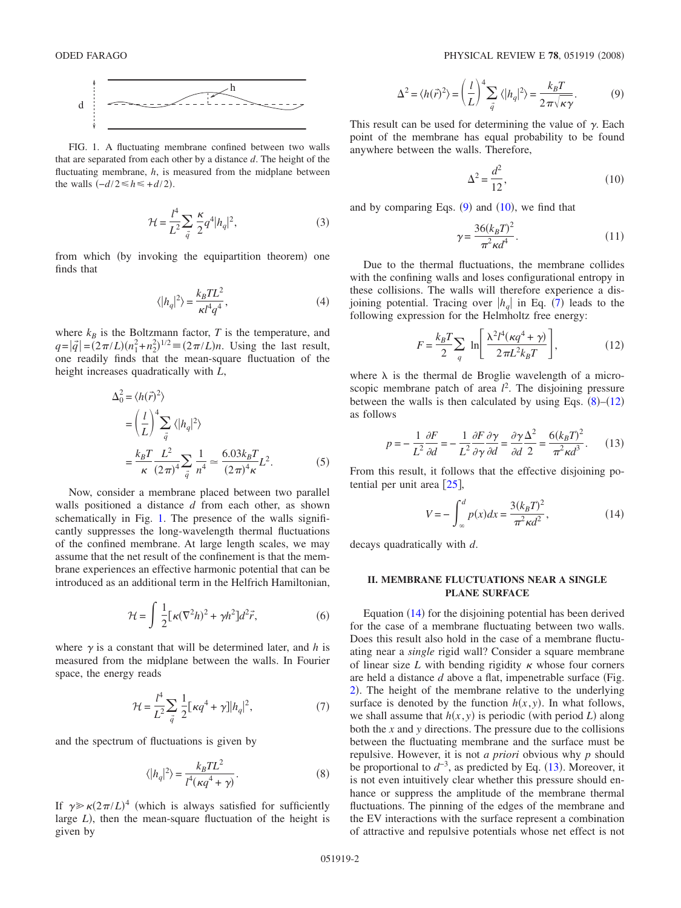<span id="page-1-0"></span>

FIG. 1. A fluctuating membrane confined between two walls that are separated from each other by a distance *d*. The height of the fluctuating membrane, *h*, is measured from the midplane between the walls  $(-d/2 \le h \le +d/2)$ .

$$
\mathcal{H} = \frac{l^4}{L^2} \sum_{\vec{q}} \frac{\kappa}{2} q^4 |h_q|^2,
$$
 (3)

from which (by invoking the equipartition theorem) one finds that

$$
\langle |h_q|^2 \rangle = \frac{k_B T L^2}{\kappa l^4 q^4},\tag{4}
$$

<span id="page-1-7"></span>where  $k_B$  is the Boltzmann factor, *T* is the temperature, and  $q = |\vec{q}| = (2\pi/L)(n_1^2 + n_2^2)^{1/2} \equiv (2\pi/L)n$ . Using the last result, one readily finds that the mean-square fluctuation of the height increases quadratically with *L*,

<span id="page-1-8"></span>
$$
\Delta_0^2 = \langle h(\vec{r})^2 \rangle
$$
  
=  $\left(\frac{l}{L}\right)^4 \sum_{\vec{q}} \langle |h_q|^2 \rangle$   
=  $\frac{k_B T}{\kappa} \frac{L^2}{(2\pi)^4} \sum_{\vec{q}} \frac{1}{n^4} \approx \frac{6.03 k_B T}{(2\pi)^4 \kappa} L^2.$  (5)

Now, consider a membrane placed between two parallel walls positioned a distance *d* from each other, as shown schematically in Fig. [1.](#page-1-0) The presence of the walls significantly suppresses the long-wavelength thermal fluctuations of the confined membrane. At large length scales, we may assume that the net result of the confinement is that the membrane experiences an effective harmonic potential that can be introduced as an additional term in the Helfrich Hamiltonian,

$$
\mathcal{H} = \int \frac{1}{2} [\kappa (\nabla^2 h)^2 + \gamma h^2] d^2 \vec{r}, \tag{6}
$$

where  $\gamma$  is a constant that will be determined later, and *h* is measured from the midplane between the walls. In Fourier space, the energy reads

$$
\mathcal{H} = \frac{l^4}{L^2} \sum_{\vec{q}} \frac{1}{2} [\kappa q^4 + \gamma] |h_q|^2, \tag{7}
$$

<span id="page-1-3"></span>and the spectrum of fluctuations is given by

$$
\langle |h_q|^2 \rangle = \frac{k_B T L^2}{l^4 (\kappa q^4 + \gamma)}.
$$
 (8)

<span id="page-1-4"></span>If  $\gamma \gg \kappa (2\pi/L)^4$  (which is always satisfied for sufficiently large *L*), then the mean-square fluctuation of the height is given by

$$
\Delta^2 = \langle h(\vec{r})^2 \rangle = \left(\frac{l}{L}\right)^4 \sum_{\vec{q}} \langle |h_q|^2 \rangle = \frac{k_B T}{2\pi \sqrt{\kappa \gamma}}.
$$
 (9)

<span id="page-1-1"></span>This result can be used for determining the value of  $\gamma$ . Each point of the membrane has equal probability to be found anywhere between the walls. Therefore,

$$
\Delta^2 = \frac{d^2}{12},\tag{10}
$$

<span id="page-1-2"></span>and by comparing Eqs.  $(9)$  $(9)$  $(9)$  and  $(10)$  $(10)$  $(10)$ , we find that

$$
\gamma = \frac{36(k_B T)^2}{\pi^2 \kappa d^4}.
$$
 (11)

Due to the thermal fluctuations, the membrane collides with the confining walls and loses configurational entropy in these collisions. The walls will therefore experience a disjoining potential. Tracing over  $|h_q|$  in Eq. ([7](#page-1-3)) leads to the following expression for the Helmholtz free energy:

$$
F = \frac{k_B T}{2} \sum_{q} \ln \left[ \frac{\lambda^2 l^4 (\kappa q^4 + \gamma)}{2 \pi L^2 k_B T} \right],
$$
 (12)

<span id="page-1-5"></span>where  $\lambda$  is the thermal de Broglie wavelength of a microscopic membrane patch of area  $l^2$ . The disjoining pressure between the walls is then calculated by using Eqs.  $(8)$  $(8)$  $(8)$ – $(12)$  $(12)$  $(12)$ as follows

$$
p = -\frac{1}{L^2} \frac{\partial F}{\partial d} = -\frac{1}{L^2} \frac{\partial F}{\partial \gamma} \frac{\partial \gamma}{\partial d} = \frac{\partial \gamma}{\partial d} \frac{\Delta^2}{2} = \frac{6(k_B T)^2}{\pi^2 \kappa d^3}.
$$
 (13)

<span id="page-1-6"></span>From this result, it follows that the effective disjoining potential per unit area  $\lceil 25 \rceil$  $\lceil 25 \rceil$  $\lceil 25 \rceil$ ,

$$
V = -\int_{-\infty}^{d} p(x)dx = \frac{3(k_B T)^2}{\pi^2 \kappa d^2},
$$
 (14)

decays quadratically with *d*.

### **II. MEMBRANE FLUCTUATIONS NEAR A SINGLE PLANE SURFACE**

Equation  $(14)$  $(14)$  $(14)$  for the disjoining potential has been derived for the case of a membrane fluctuating between two walls. Does this result also hold in the case of a membrane fluctuating near a *single* rigid wall? Consider a square membrane of linear size  $L$  with bending rigidity  $\kappa$  whose four corners are held a distance  $d$  above a flat, impenetrable surface (Fig. [2](#page-2-0)). The height of the membrane relative to the underlying surface is denoted by the function  $h(x, y)$ . In what follows, we shall assume that  $h(x, y)$  is periodic (with period *L*) along both the *x* and *y* directions. The pressure due to the collisions between the fluctuating membrane and the surface must be repulsive. However, it is not *a priori* obvious why *p* should be proportional to  $d^{-3}$ , as predicted by Eq. ([13](#page-1-6)). Moreover, it is not even intuitively clear whether this pressure should enhance or suppress the amplitude of the membrane thermal fluctuations. The pinning of the edges of the membrane and the EV interactions with the surface represent a combination of attractive and repulsive potentials whose net effect is not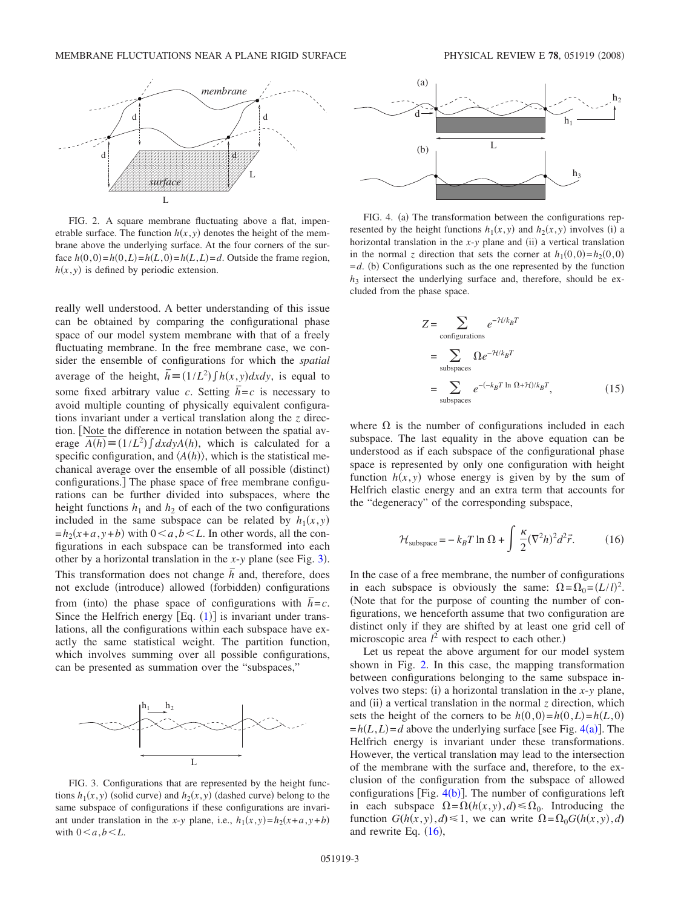<span id="page-2-0"></span>

FIG. 2. A square membrane fluctuating above a flat, impenetrable surface. The function  $h(x, y)$  denotes the height of the membrane above the underlying surface. At the four corners of the surface  $h(0,0) = h(0,L) = h(L,0) = h(L,L) = d$ . Outside the frame region,  $h(x, y)$  is defined by periodic extension.

really well understood. A better understanding of this issue can be obtained by comparing the configurational phase space of our model system membrane with that of a freely fluctuating membrane. In the free membrane case, we consider the ensemble of configurations for which the *spatial* average of the height,  $\overline{h} = (1/L^2) \int h(x, y) dx dy$ , is equal to some fixed arbitrary value *c*. Setting  $\bar{h} = c$  is necessary to avoid multiple counting of physically equivalent configurations invariant under a vertical translation along the *z* direction. Note the difference in notation between the spatial average  $A(h) = (1/L^2) \int dx dy A(h)$ , which is calculated for a specific configuration, and  $\langle A(h) \rangle$ , which is the statistical mechanical average over the ensemble of all possible (distinct) configurations.] The phase space of free membrane configurations can be further divided into subspaces, where the height functions  $h_1$  and  $h_2$  of each of the two configurations included in the same subspace can be related by  $h_1(x, y)$  $=h_2(x+a, y+b)$  with  $0 \le a, b \le L$ . In other words, all the configurations in each subspace can be transformed into each other by a horizontal translation in the  $x$ - $y$  plane (see Fig. [3](#page-2-1)). This transformation does not change  $\bar{h}$  and, therefore, does not exclude (introduce) allowed (forbidden) configurations from (into) the phase space of configurations with  $\bar{h} = c$ . Since the Helfrich energy  $[Eq. (1)]$  $[Eq. (1)]$  $[Eq. (1)]$  is invariant under translations, all the configurations within each subspace have exactly the same statistical weight. The partition function, which involves summing over all possible configurations, can be presented as summation over the "subspaces,"

<span id="page-2-1"></span>

FIG. 3. Configurations that are represented by the height functions  $h_1(x, y)$  (solid curve) and  $h_2(x, y)$  (dashed curve) belong to the same subspace of configurations if these configurations are invariant under translation in the *x*-*y* plane, i.e.,  $h_1(x, y) = h_2(x + a, y + b)$ with  $0 \leq a, b \leq L$ .

<span id="page-2-2"></span>

FIG. 4. (a) The transformation between the configurations represented by the height functions  $h_1(x, y)$  and  $h_2(x, y)$  involves (i) a horizontal translation in the  $x$ - $y$  plane and (ii) a vertical translation in the normal *z* direction that sets the corner at  $h_1(0,0) = h_2(0,0)$  $=$ *d*. (b) Configurations such as the one represented by the function  $h_3$  intersect the underlying surface and, therefore, should be excluded from the phase space.

$$
Z = \sum_{\text{configurations}} e^{-\mathcal{H}/k_B T}
$$
  
= 
$$
\sum_{\text{subspaces}} \Omega e^{-\mathcal{H}/k_B T}
$$
  
= 
$$
\sum_{\text{subspaces}} e^{-(-k_B T \ln \Omega + \mathcal{H})/k_B T},
$$
 (15)

where  $\Omega$  is the number of configurations included in each subspace. The last equality in the above equation can be understood as if each subspace of the configurational phase space is represented by only one configuration with height function  $h(x, y)$  whose energy is given by by the sum of Helfrich elastic energy and an extra term that accounts for the "degeneracy" of the corresponding subspace,

$$
\mathcal{H}_{\text{subspace}} = -k_B T \ln \Omega + \int \frac{\kappa}{2} (\nabla^2 h)^2 d^2 \vec{r}.
$$
 (16)

<span id="page-2-3"></span>In the case of a free membrane, the number of configurations in each subspace is obviously the same:  $\Omega = \Omega_0 = (L/l)^2$ . Note that for the purpose of counting the number of configurations, we henceforth assume that two configuration are distinct only if they are shifted by at least one grid cell of microscopic area  $l^2$  with respect to each other.)

Let us repeat the above argument for our model system shown in Fig. [2.](#page-2-0) In this case, the mapping transformation between configurations belonging to the same subspace involves two steps: (i) a horizontal translation in the  $x$ -*y* plane, and (ii) a vertical translation in the normal  $z$  direction, which sets the height of the corners to be  $h(0,0)=h(0,L)=h(L,0)$  $=h(L,L)=d$  above the underlying surface [see Fig. [4](#page-2-2)(a)]. The Helfrich energy is invariant under these transformations. However, the vertical translation may lead to the intersection of the membrane with the surface and, therefore, to the exclusion of the configuration from the subspace of allowed configurations [Fig.  $4(b)$  $4(b)$ ]. The number of configurations left in each subspace  $\Omega = \Omega(h(x, y), d) \le \Omega_0$ . Introducing the function  $G(h(x, y), d) \le 1$ , we can write  $\Omega = \Omega_0 G(h(x, y), d)$ and rewrite Eq.  $(16)$  $(16)$  $(16)$ ,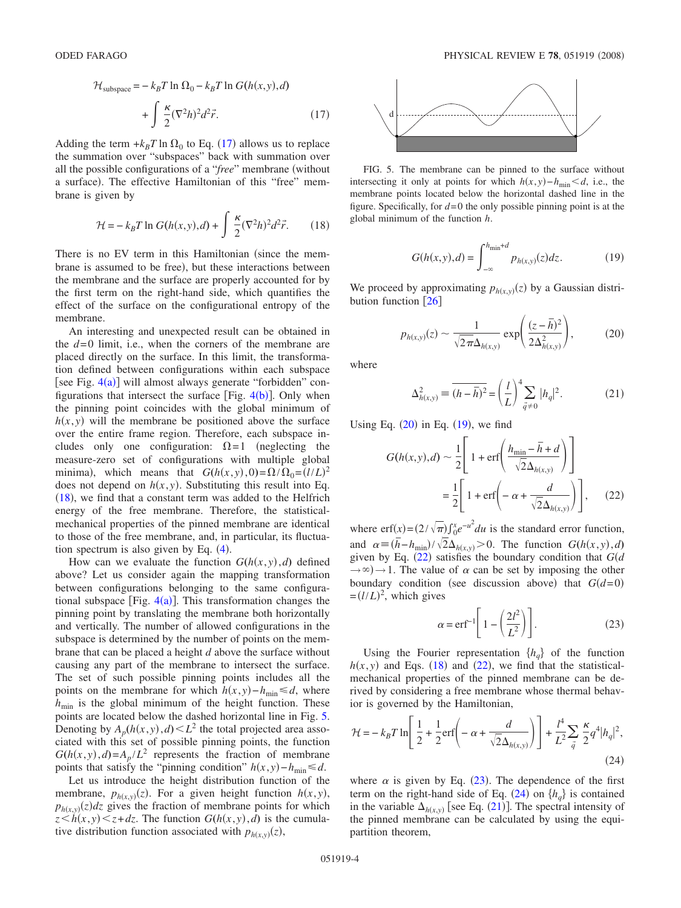<span id="page-3-0"></span>
$$
\mathcal{H}_{\text{subspace}} = -k_B T \ln \Omega_0 - k_B T \ln G(h(x, y), d)
$$

$$
+ \int \frac{\kappa}{2} (\nabla^2 h)^2 d^2 \vec{r}.
$$
 (17)

Adding the term  $+k_BT \ln \Omega_0$  to Eq. ([17](#page-3-0)) allows us to replace the summation over "subspaces" back with summation over all the possible configurations of a "*free*" membrane (without a surface). The effective Hamiltonian of this "free" membrane is given by

$$
\mathcal{H} = -k_B T \ln G(h(x, y), d) + \int \frac{\kappa}{2} (\nabla^2 h)^2 d^2 \vec{r}.
$$
 (18)

<span id="page-3-1"></span>There is no EV term in this Hamiltonian (since the membrane is assumed to be free), but these interactions between the membrane and the surface are properly accounted for by the first term on the right-hand side, which quantifies the effect of the surface on the configurational entropy of the membrane.

An interesting and unexpected result can be obtained in the  $d=0$  limit, i.e., when the corners of the membrane are placed directly on the surface. In this limit, the transformation defined between configurations within each subspace [see Fig.  $4(a)$  $4(a)$ ] will almost always generate "forbidden" configurations that intersect the surface [Fig.  $4(b)$  $4(b)$ ]. Only when the pinning point coincides with the global minimum of  $h(x, y)$  will the membrane be positioned above the surface over the entire frame region. Therefore, each subspace includes only one configuration:  $\Omega = 1$  (neglecting the measure-zero set of configurations with multiple global minima), which means that  $G(h(x, y), 0) = \Omega / \Omega_0 = (l/L)^2$ does not depend on  $h(x, y)$ . Substituting this result into Eq.  $(18)$  $(18)$  $(18)$ , we find that a constant term was added to the Helfrich energy of the free membrane. Therefore, the statisticalmechanical properties of the pinned membrane are identical to those of the free membrane, and, in particular, its fluctuation spectrum is also given by Eq.  $(4)$  $(4)$  $(4)$ .

How can we evaluate the function  $G(h(x, y), d)$  defined above? Let us consider again the mapping transformation between configurations belonging to the same configurational subspace [Fig.  $4(a)$  $4(a)$ ]. This transformation changes the pinning point by translating the membrane both horizontally and vertically. The number of allowed configurations in the subspace is determined by the number of points on the membrane that can be placed a height *d* above the surface without causing any part of the membrane to intersect the surface. The set of such possible pinning points includes all the points on the membrane for which  $h(x, y) - h_{\min} \le d$ , where  $h_{\text{min}}$  is the global minimum of the height function. These points are located below the dashed horizontal line in Fig. [5.](#page-3-2) Denoting by  $A_p(h(x, y), d) \le L^2$  the total projected area associated with this set of possible pinning points, the function  $G(h(x, y), d) = A_p / L^2$  represents the fraction of membrane points that satisfy the "pinning condition"  $h(x, y) - h_{\text{min}} \le d$ .

Let us introduce the height distribution function of the membrane,  $p_{h(x,y)}(z)$ . For a given height function  $h(x,y)$ ,  $p_{h(x,y)}(z)$  *dz* gives the fraction of membrane points for which  $z \leq h(x, y) \leq z + dz$ . The function  $G(h(x, y), d)$  is the cumulative distribution function associated with  $p_{h(x,y)}(z)$ ,

<span id="page-3-2"></span>

FIG. 5. The membrane can be pinned to the surface without intersecting it only at points for which  $h(x, y) - h_{\text{min}} < d$ , i.e., the membrane points located below the horizontal dashed line in the figure. Specifically, for  $d=0$  the only possible pinning point is at the global minimum of the function *h*.

$$
G(h(x, y), d) = \int_{-\infty}^{h_{\min} + d} p_{h(x, y)}(z) dz.
$$
 (19)

<span id="page-3-4"></span>We proceed by approximating  $p_{h(x,y)}(z)$  by a Gaussian distribution function  $\lceil 26 \rceil$  $\lceil 26 \rceil$  $\lceil 26 \rceil$ 

$$
p_{h(x,y)}(z) \sim \frac{1}{\sqrt{2\pi}\Delta_{h(x,y)}} \exp\left(\frac{(z-\overline{h})^2}{2\Delta_{h(x,y)}^2}\right),\tag{20}
$$

<span id="page-3-3"></span>where

$$
\Delta_{h(x,y)}^2 \equiv \overline{(h - \overline{h})^2} = \left(\frac{l}{L}\right)^4 \sum_{\vec{q} \neq 0} |h_q|^2.
$$
 (21)

<span id="page-3-8"></span><span id="page-3-5"></span>Using Eq.  $(20)$  $(20)$  $(20)$  in Eq.  $(19)$  $(19)$  $(19)$ , we find

$$
G(h(x, y), d) \sim \frac{1}{2} \left[ 1 + \text{erf}\left( \frac{h_{\min} - \overline{h} + d}{\sqrt{2} \Delta_{h(x, y)}} \right) \right]
$$

$$
= \frac{1}{2} \left[ 1 + \text{erf}\left( -\alpha + \frac{d}{\sqrt{2} \Delta_{h(x, y)}} \right) \right], \quad (22)
$$

where  $\text{erf}(x) = (2/\sqrt{\pi}) \int_0^x e^{-u^2} du$  is the standard error function, and  $\alpha = (\bar{h} - h_{\min}) / \sqrt{2} \Delta_{h(x,y)} > 0$ . The function  $G(h(x, y), d)$ given by Eq.  $(22)$  $(22)$  $(22)$  satisfies the boundary condition that  $G(d)$  $\rightarrow \infty$ )  $\rightarrow$  1. The value of  $\alpha$  can be set by imposing the other boundary condition (see discussion above) that  $G(d=0)$  $=(l/L)^2$ , which gives

$$
\alpha = \text{erf}^{-1} \left[ 1 - \left( \frac{2l^2}{L^2} \right) \right]. \tag{23}
$$

<span id="page-3-6"></span>Using the Fourier representation  $\{h_{a}\}\$  of the function  $h(x, y)$  and Eqs. ([18](#page-3-1)) and ([22](#page-3-5)), we find that the statisticalmechanical properties of the pinned membrane can be derived by considering a free membrane whose thermal behavior is governed by the Hamiltonian,

<span id="page-3-7"></span>
$$
\mathcal{H} = -k_B T \ln \left[ \frac{1}{2} + \frac{1}{2} \text{erf} \left( -\alpha + \frac{d}{\sqrt{2} \Delta_{h(x,y)}} \right) \right] + \frac{l^4}{L^2} \sum_{\vec{q}} \frac{\kappa}{2} q^4 |h_q|^2,
$$
\n(24)

where  $\alpha$  is given by Eq. ([23](#page-3-6)). The dependence of the first term on the right-hand side of Eq.  $(24)$  $(24)$  $(24)$  on  $\{h_q\}$  is contained in the variable  $\Delta_{h(x,y)}$  [see Eq. ([21](#page-3-8))]. The spectral intensity of the pinned membrane can be calculated by using the equipartition theorem,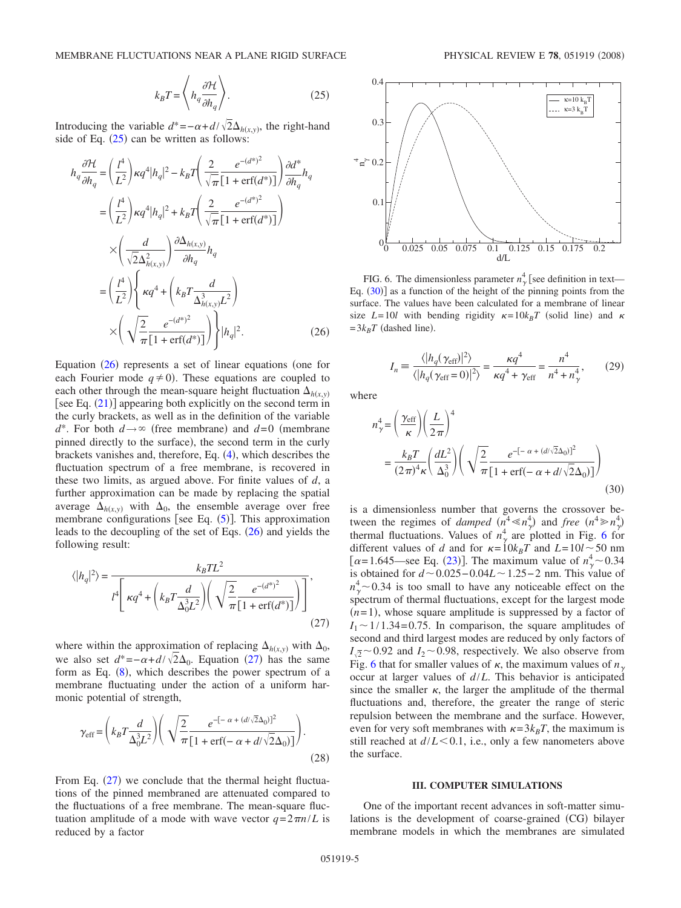$$
k_B T = \left\langle h_q \frac{\partial \mathcal{H}}{\partial h_q} \right\rangle. \tag{25}
$$

<span id="page-4-0"></span>Introducing the variable  $d^* = -\alpha + d/\sqrt{2}\Delta_{h(x,y)}$ , the right-hand side of Eq.  $(25)$  $(25)$  $(25)$  can be written as follows:

<span id="page-4-1"></span>
$$
h_q \frac{\partial \mathcal{H}}{\partial h_q} = \left(\frac{l^4}{L^2}\right) \kappa q^4 |h_q|^2 - k_B T \left(\frac{2}{\sqrt{\pi}} \frac{e^{-(d^*)^2}}{[1 + \text{erf}(d^*)]} \right) \frac{\partial d^*}{\partial h_q} h_q
$$
  
\n
$$
= \left(\frac{l^4}{L^2}\right) \kappa q^4 |h_q|^2 + k_B T \left(\frac{2}{\sqrt{\pi}} \frac{e^{-(d^*)^2}}{[1 + \text{erf}(d^*)]} \right)
$$
  
\n
$$
\times \left(\frac{d}{\sqrt{2} \Delta_{h(x,y)}^2} \right) \frac{\partial \Delta_{h(x,y)}}{\partial h_q} h_q
$$
  
\n
$$
= \left(\frac{l^4}{L^2}\right) \left\{ \kappa q^4 + \left(k_B T \frac{d}{\Delta_{h(x,y)}^3 L^2} \right) \times \left(\sqrt{\frac{2}{\pi}} \frac{e^{-(d^*)^2}}{[1 + \text{erf}(d^*)]} \right) \right\} |h_q|^2.
$$
 (26)

Equation  $(26)$  $(26)$  $(26)$  represents a set of linear equations (one for each Fourier mode  $q \neq 0$ ). These equations are coupled to each other through the mean-square height fluctuation  $\Delta_{h(x,y)}$ [see Eq.  $(21)$  $(21)$  $(21)$ ] appearing both explicitly on the second term in the curly brackets, as well as in the definition of the variable  $d^*$ . For both  $d \rightarrow \infty$  (free membrane) and  $d=0$  (membrane pinned directly to the surface), the second term in the curly brackets vanishes and, therefore, Eq. ([4](#page-1-7)), which describes the fluctuation spectrum of a free membrane, is recovered in these two limits, as argued above. For finite values of *d*, a further approximation can be made by replacing the spatial average  $\Delta_{h(x,y)}$  with  $\Delta_0$ , the ensemble average over free membrane configurations [see Eq.  $(5)$  $(5)$  $(5)$ ]. This approximation leads to the decoupling of the set of Eqs.  $(26)$  $(26)$  $(26)$  and yields the following result:

<span id="page-4-2"></span>
$$
\langle |h_q|^2 \rangle = \frac{k_B T L^2}{t^4 \left[ \kappa q^4 + \left( k_B T \frac{d}{\Delta_0^3 L^2} \right) \left( \sqrt{\frac{2}{\pi}} \frac{e^{-(d^*)^2}}{[1 + \text{erf}(d^*)]} \right) \right]},
$$
\n(27)

where within the approximation of replacing  $\Delta_{h(x,y)}$  with  $\Delta_0$ , we also set  $d^* = -\alpha + d/\sqrt{2}\Delta_0$ . Equation ([27](#page-4-2)) has the same form as Eq.  $(8)$  $(8)$  $(8)$ , which describes the power spectrum of a membrane fluctuating under the action of a uniform harmonic potential of strength,

$$
\gamma_{\rm eff} = \left(k_B T \frac{d}{\Delta_0^3 L^2}\right) \left(\sqrt{\frac{2}{\pi}} \frac{e^{-\left[-\alpha + (d/\sqrt{2}\Delta_0)\right]^2}}{\left[1 + \text{erf}\left(-\alpha + d/\sqrt{2}\Delta_0\right)\right]}\right).
$$
\n(28)

From Eq.  $(27)$  $(27)$  $(27)$  we conclude that the thermal height fluctuations of the pinned membraned are attenuated compared to the fluctuations of a free membrane. The mean-square fluctuation amplitude of a mode with wave vector  $q = 2\pi n/L$  is reduced by a factor

<span id="page-4-3"></span>

FIG. 6. The dimensionless parameter  $n_{\gamma}^{4}$  [see definition in text— Eq.  $(30)$  $(30)$  $(30)$  as a function of the height of the pinning points from the surface. The values have been calculated for a membrane of linear size  $L=10l$  with bending rigidity  $\kappa = 10k_BT$  (solid line) and  $\kappa$  $= 3k_BT$  (dashed line).

$$
I_n = \frac{\langle |h_q(\gamma_{\rm eff})|^2 \rangle}{\langle |h_q(\gamma_{\rm eff} = 0)|^2 \rangle} = \frac{\kappa q^4}{\kappa q^4 + \gamma_{\rm eff}} = \frac{n^4}{n^4 + n_\gamma^4},\qquad(29)
$$

<span id="page-4-5"></span>where

<span id="page-4-4"></span>
$$
n_{\gamma}^{4} = \left(\frac{\gamma_{\rm eff}}{\kappa}\right) \left(\frac{L}{2\pi}\right)^{4}
$$
  
= 
$$
\frac{k_{B}T}{(2\pi)^{4}\kappa} \left(\frac{dL^{2}}{\Delta_{0}^{3}}\right) \left(\sqrt{\frac{2}{\pi}} \frac{e^{-[-\alpha + (d/\sqrt{2}\Delta_{0})]^{2}}}{[1 + \text{erf}(-\alpha + d/\sqrt{2}\Delta_{0})]}\right)
$$
(30)

is a dimensionless number that governs the crossover between the regimes of *damped*  $(n^4 \ll n_\gamma^4)$  and *free*  $(n^4 \gg n_\gamma^4)$ thermal fluctuations. Values of  $n_{\gamma}^4$  are plotted in Fig. [6](#page-4-3) for different values of *d* and for  $\kappa = 10k_BT$  and  $L = 10l \sim 50$  nm [ $\alpha$ =1.645—see Eq. ([23](#page-3-6))]. The maximum value of  $n_{\gamma}^4$  ~ 0.34 is obtained for  $d \sim 0.025 - 0.04L \sim 1.25 - 2$  nm. This value of  $n_{\gamma}^{4}$  ~ 0.34 is too small to have any noticeable effect on the spectrum of thermal fluctuations, except for the largest mode  $(n=1)$ , whose square amplitude is suppressed by a factor of  $I_1 \sim 1/1.34 = 0.75$ . In comparison, the square amplitudes of second and third largest modes are reduced by only factors of  $I_{\sqrt{2}}$  ~ 0.92 and *I*<sub>2</sub> ~ 0.98, respectively. We also observe from Fig. [6](#page-4-3) that for smaller values of  $\kappa$ , the maximum values of  $n_{\gamma}$ occur at larger values of *d*/*L*. This behavior is anticipated since the smaller  $\kappa$ , the larger the amplitude of the thermal fluctuations and, therefore, the greater the range of steric repulsion between the membrane and the surface. However, even for very soft membranes with  $\kappa = 3k_BT$ , the maximum is still reached at  $d/L < 0.1$ , i.e., only a few nanometers above the surface.

#### **III. COMPUTER SIMULATIONS**

One of the important recent advances in soft-matter simulations is the development of coarse-grained (CG) bilayer membrane models in which the membranes are simulated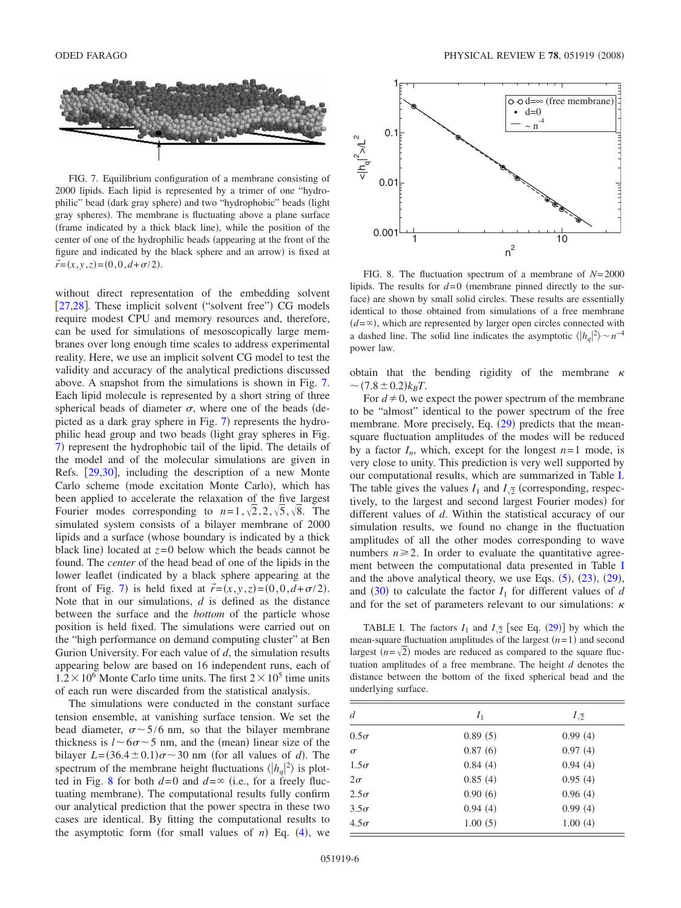<span id="page-5-0"></span>

FIG. 7. Equilibrium configuration of a membrane consisting of 2000 lipids. Each lipid is represented by a trimer of one "hydrophilic" bead (dark gray sphere) and two "hydrophobic" beads (light gray spheres). The membrane is fluctuating above a plane surface (frame indicated by a thick black line), while the position of the center of one of the hydrophilic beads (appearing at the front of the figure and indicated by the black sphere and an arrow) is fixed at  $\vec{r} = (x, y, z) = (0, 0, d + \sigma/2).$ 

without direct representation of the embedding solvent [[27](#page-8-0)[,28](#page-8-1)]. These implicit solvent ("solvent free") CG models require modest CPU and memory resources and, therefore, can be used for simulations of mesoscopically large membranes over long enough time scales to address experimental reality. Here, we use an implicit solvent CG model to test the validity and accuracy of the analytical predictions discussed above. A snapshot from the simulations is shown in Fig. [7.](#page-5-0) Each lipid molecule is represented by a short string of three spherical beads of diameter  $\sigma$ , where one of the beads (de-picted as a dark gray sphere in Fig. [7](#page-5-0)) represents the hydrophilic head group and two beads (light gray spheres in Fig. [7](#page-5-0)) represent the hydrophobic tail of the lipid. The details of the model and of the molecular simulations are given in Refs. [29](#page-8-2)[,30](#page-8-3), including the description of a new Monte Carlo scheme (mode excitation Monte Carlo), which has been applied to accelerate the relaxation of the five largest Fourier modes corresponding to  $n=1, \sqrt{2}, 2, \sqrt{5}, \sqrt{8}$ . The simulated system consists of a bilayer membrane of 2000 lipids and a surface (whose boundary is indicated by a thick black line) located at  $z=0$  below which the beads cannot be found. The *center* of the head bead of one of the lipids in the lower leaflet (indicated by a black sphere appearing at the front of Fig. [7](#page-5-0)) is held fixed at  $\vec{r} = (x, y, z) = (0, 0, d + \sigma/2)$ . Note that in our simulations, *d* is defined as the distance between the surface and the *bottom* of the particle whose position is held fixed. The simulations were carried out on the "high performance on demand computing cluster" at Ben Gurion University. For each value of *d*, the simulation results appearing below are based on 16 independent runs, each of  $1.2 \times 10^6$  Monte Carlo time units. The first  $2 \times 10^5$  time units of each run were discarded from the statistical analysis.

The simulations were conducted in the constant surface tension ensemble, at vanishing surface tension. We set the bead diameter,  $\sigma \sim 5/6$  nm, so that the bilayer membrane thickness is  $l \sim 6\sigma \sim 5$  nm, and the (mean) linear size of the bilayer  $L = (36.4 \pm 0.1)\sigma \sim 30$  nm (for all values of *d*). The spectrum of the membrane height fluctuations  $\langle |h_q|^2 \rangle$  is plot-ted in Fig. [8](#page-5-1) for both  $d=0$  and  $d=\infty$  (i.e., for a freely fluctuating membrane). The computational results fully confirm our analytical prediction that the power spectra in these two cases are identical. By fitting the computational results to the asymptotic form (for small values of  $n$ ) Eq. ([4](#page-1-7)), we

<span id="page-5-1"></span>

FIG. 8. The fluctuation spectrum of a membrane of *N*= 2000 lipids. The results for  $d=0$  (membrane pinned directly to the surface) are shown by small solid circles. These results are essentially identical to those obtained from simulations of a free membrane  $(d = \infty)$ , which are represented by larger open circles connected with a dashed line. The solid line indicates the asymptotic  $\langle |h_q|^2 \rangle \sim n^{-4}$ power law.

obtain that the bending rigidity of the membrane  $\kappa$  $\sim$  (7.8  $\pm$  0.2) $k_BT$ .

For  $d \neq 0$ , we expect the power spectrum of the membrane to be "almost" identical to the power spectrum of the free membrane. More precisely, Eq. ([29](#page-4-5)) predicts that the meansquare fluctuation amplitudes of the modes will be reduced by a factor  $I_n$ , which, except for the longest  $n=1$  mode, is very close to unity. This prediction is very well supported by our computational results, which are summarized in Table [I.](#page-5-2) The table gives the values  $I_1$  and  $I_{\sqrt{2}}$  (corresponding, respectively, to the largest and second largest Fourier modes) for different values of *d*. Within the statistical accuracy of our simulation results, we found no change in the fluctuation amplitudes of all the other modes corresponding to wave numbers  $n \geq 2$ . In order to evaluate the quantitative agreement between the computational data presented in Table [I](#page-5-2) and the above analytical theory, we use Eqs.  $(5)$  $(5)$  $(5)$ ,  $(23)$  $(23)$  $(23)$ ,  $(29)$  $(29)$  $(29)$ , and ([30](#page-4-4)) to calculate the factor  $I_1$  for different values of *d* and for the set of parameters relevant to our simulations:  $\kappa$ 

<span id="page-5-2"></span>TABLE I. The factors  $I_1$  and  $I_{\sqrt{2}}$  [see Eq. ([29](#page-4-5))] by which the mean-square fluctuation amplitudes of the largest  $(n=1)$  and second largest  $(n = \sqrt{2})$  modes are reduced as compared to the square fluctuation amplitudes of a free membrane. The height *d* denotes the distance between the bottom of the fixed spherical bead and the underlying surface.

| d           | $I_1$   | $I_{\sqrt{2}}$ |
|-------------|---------|----------------|
| $0.5\sigma$ | 0.89(5) | 0.99(4)        |
| $\sigma$    | 0.87(6) | 0.97(4)        |
| $1.5\sigma$ | 0.84(4) | 0.94(4)        |
| $2\sigma$   | 0.85(4) | 0.95(4)        |
| $2.5\sigma$ | 0.90(6) | 0.96(4)        |
| $3.5\sigma$ | 0.94(4) | 0.99(4)        |
| $4.5\sigma$ | 1.00(5) | 1.00(4)        |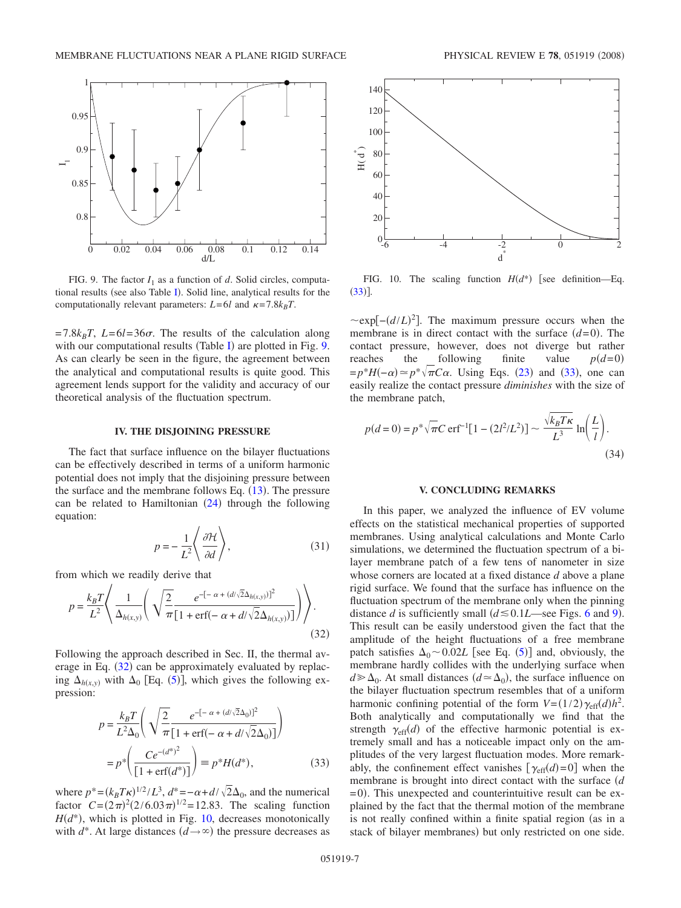<span id="page-6-0"></span>

FIG. 9. The factor  $I_1$  as a function of *d*. Solid circles, computa-tional results (see also Table [I](#page-5-2)). Solid line, analytical results for the computationally relevant parameters:  $L = 6l$  and  $\kappa = 7.8k_BT$ .

 $= 7.8k_BT$ ,  $L=6l=36\sigma$ . The results of the calculation along with our computational results (Table [I](#page-5-2)) are plotted in Fig. [9.](#page-6-0) As can clearly be seen in the figure, the agreement between the analytical and computational results is quite good. This agreement lends support for the validity and accuracy of our theoretical analysis of the fluctuation spectrum.

### **IV. THE DISJOINING PRESSURE**

The fact that surface influence on the bilayer fluctuations can be effectively described in terms of a uniform harmonic potential does not imply that the disjoining pressure between the surface and the membrane follows Eq.  $(13)$  $(13)$  $(13)$ . The pressure can be related to Hamiltonian  $(24)$  $(24)$  $(24)$  through the following equation:

$$
p = -\frac{1}{L^2} \left\langle \frac{\partial \mathcal{H}}{\partial d} \right\rangle, \tag{31}
$$

from which we readily derive that

<span id="page-6-1"></span>
$$
p = \frac{k_B T}{L^2} \left\langle \frac{1}{\Delta_{h(x,y)}} \left( \sqrt{\frac{2}{\pi} \frac{e^{-[-\alpha + (d/\sqrt{2}\Delta_{h(x,y)})]^2}}{[1 + \text{erf}(-\alpha + d/\sqrt{2}\Delta_{h(x,y)})]}} \right) \right\rangle.
$$
\n(32)

Following the approach described in Sec. II, the thermal average in Eq.  $(32)$  $(32)$  $(32)$  can be approximately evaluated by replacing  $\Delta_{h(x,y)}$  with  $\Delta_0$  [Eq. ([5](#page-1-8))], which gives the following expression:

<span id="page-6-3"></span>
$$
p = \frac{k_B T}{L^2 \Delta_0} \left( \sqrt{\frac{2}{\pi}} \frac{e^{-[-\alpha + (d/\sqrt{2}\Delta_0)]^2}}{[1 + \text{erf}(-\alpha + d/\sqrt{2}\Delta_0)]} \right)
$$
  
=  $p^* \left( \frac{Ce^{-(d^*)^2}}{[1 + \text{erf}(d^*)]} \right) = p^* H(d^*),$  (33)

where  $p^* = (k_B T_R)^{1/2}/L^3$ ,  $d^* = -\alpha + d/\sqrt{2}\Delta_0$ , and the numerical factor  $C = (2\pi)^2 (2/6.03\pi)^{1/2} = 12.83$ . The scaling function  $H(d^*)$ , which is plotted in Fig. [10,](#page-6-2) decreases monotonically with  $d^*$ . At large distances  $(d \rightarrow \infty)$  the pressure decreases as

<span id="page-6-2"></span>

FIG. 10. The scaling function  $H(d^*)$  [see definition—Eq.  $(33)$  $(33)$  $(33)$ ].

 $\sim$ exp[ $-(d/L)^2$ ]. The maximum pressure occurs when the membrane is in direct contact with the surface  $(d=0)$ . The contact pressure, however, does not diverge but rather reaches the following finite value  $p(d=0)$  $=p^*H(-\alpha) \approx p^*\sqrt{\pi}C\alpha$ . Using Eqs. ([23](#page-3-6)) and ([33](#page-6-3)), one can easily realize the contact pressure *diminishes* with the size of the membrane patch,

$$
p(d=0) = p^* \sqrt{\pi} C \operatorname{erf}^{-1} [1 - (2l^2/L^2)] \sim \frac{\sqrt{k_B T \kappa}}{L^3} \ln \left( \frac{L}{l} \right). \tag{34}
$$

#### **V. CONCLUDING REMARKS**

In this paper, we analyzed the influence of EV volume effects on the statistical mechanical properties of supported membranes. Using analytical calculations and Monte Carlo simulations, we determined the fluctuation spectrum of a bilayer membrane patch of a few tens of nanometer in size whose corners are located at a fixed distance *d* above a plane rigid surface. We found that the surface has influence on the fluctuation spectrum of the membrane only when the pinning distance *d* is sufficiently small  $(d \le 0.1L$ —see Figs. [6](#page-4-3) and [9](#page-6-0)). This result can be easily understood given the fact that the amplitude of the height fluctuations of a free membrane patch satisfies  $\Delta_0 \sim 0.02L$  [see Eq. ([5](#page-1-8))] and, obviously, the membrane hardly collides with the underlying surface when  $d \geq \Delta_0$ . At small distances  $(d \simeq \Delta_0)$ , the surface influence on the bilayer fluctuation spectrum resembles that of a uniform harmonic confining potential of the form  $V = (1/2) \gamma_{\text{eff}}(d) h^2$ . Both analytically and computationally we find that the strength  $\gamma_{\text{eff}}(d)$  of the effective harmonic potential is extremely small and has a noticeable impact only on the amplitudes of the very largest fluctuation modes. More remarkably, the confinement effect vanishes  $[\gamma_{\text{eff}}(d)=0]$  when the membrane is brought into direct contact with the surface *d* = 0). This unexpected and counterintuitive result can be explained by the fact that the thermal motion of the membrane is not really confined within a finite spatial region (as in a stack of bilayer membranes) but only restricted on one side.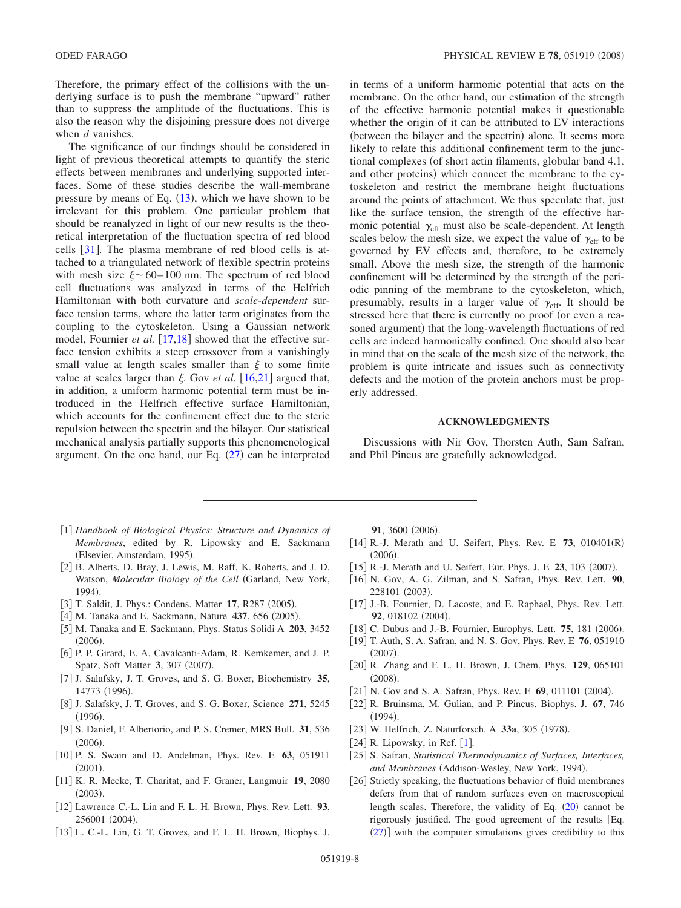Therefore, the primary effect of the collisions with the underlying surface is to push the membrane "upward" rather than to suppress the amplitude of the fluctuations. This is also the reason why the disjoining pressure does not diverge when *d* vanishes.

The significance of our findings should be considered in light of previous theoretical attempts to quantify the steric effects between membranes and underlying supported interfaces. Some of these studies describe the wall-membrane pressure by means of Eq.  $(13)$  $(13)$  $(13)$ , which we have shown to be irrelevant for this problem. One particular problem that should be reanalyzed in light of our new results is the theoretical interpretation of the fluctuation spectra of red blood cells [[31](#page-8-4)]. The plasma membrane of red blood cells is attached to a triangulated network of flexible spectrin proteins with mesh size  $\xi \sim 60 - 100$  nm. The spectrum of red blood cell fluctuations was analyzed in terms of the Helfrich Hamiltonian with both curvature and *scale-dependent* surface tension terms, where the latter term originates from the coupling to the cytoskeleton. Using a Gaussian network model, Fournier *et al.* [[17,](#page-7-21)[18](#page-7-22)] showed that the effective surface tension exhibits a steep crossover from a vanishingly small value at length scales smaller than  $\xi$  to some finite value at scales larger than  $\xi$ . Gov *et al.* [[16](#page-7-13)[,21](#page-7-15)] argued that, in addition, a uniform harmonic potential term must be introduced in the Helfrich effective surface Hamiltonian, which accounts for the confinement effect due to the steric repulsion between the spectrin and the bilayer. Our statistical mechanical analysis partially supports this phenomenological argument. On the one hand, our Eq.  $(27)$  $(27)$  $(27)$  can be interpreted

in terms of a uniform harmonic potential that acts on the membrane. On the other hand, our estimation of the strength of the effective harmonic potential makes it questionable whether the origin of it can be attributed to EV interactions (between the bilayer and the spectrin) alone. It seems more likely to relate this additional confinement term to the junctional complexes (of short actin filaments, globular band 4.1, and other proteins) which connect the membrane to the cytoskeleton and restrict the membrane height fluctuations around the points of attachment. We thus speculate that, just like the surface tension, the strength of the effective harmonic potential  $\gamma_{\text{eff}}$  must also be scale-dependent. At length scales below the mesh size, we expect the value of  $\gamma_{\text{eff}}$  to be governed by EV effects and, therefore, to be extremely small. Above the mesh size, the strength of the harmonic confinement will be determined by the strength of the periodic pinning of the membrane to the cytoskeleton, which, presumably, results in a larger value of  $\gamma_{\text{eff}}$ . It should be stressed here that there is currently no proof (or even a reasoned argument) that the long-wavelength fluctuations of red cells are indeed harmonically confined. One should also bear in mind that on the scale of the mesh size of the network, the problem is quite intricate and issues such as connectivity defects and the motion of the protein anchors must be properly addressed.

### **ACKNOWLEDGMENTS**

Discussions with Nir Gov, Thorsten Auth, Sam Safran, and Phil Pincus are gratefully acknowledged.

- <span id="page-7-0"></span>1 *Handbook of Biological Physics: Structure and Dynamics of Membranes*, edited by R. Lipowsky and E. Sackmann (Elsevier, Amsterdam, 1995).
- <span id="page-7-1"></span>[2] B. Alberts, D. Bray, J. Lewis, M. Raff, K. Roberts, and J. D. Watson, *Molecular Biology of the Cell* Garland, New York, 1994).
- [3] T. Saldit, J. Phys.: Condens. Matter 17, R287 (2005).
- <span id="page-7-2"></span>[4] M. Tanaka and E. Sackmann, Nature 437, 656 (2005).
- <span id="page-7-3"></span>5 M. Tanaka and E. Sackmann, Phys. Status Solidi A **203**, 3452  $(2006).$
- <span id="page-7-4"></span>[6] P. P. Girard, E. A. Cavalcanti-Adam, R. Kemkemer, and J. P. Spatz, Soft Matter 3, 307 (2007).
- <span id="page-7-5"></span>7 J. Salafsky, J. T. Groves, and S. G. Boxer, Biochemistry **35**, 14773 (1996).
- <span id="page-7-6"></span>8 J. Salafsky, J. T. Groves, and S. G. Boxer, Science **271**, 5245  $(1996).$
- <span id="page-7-7"></span>9 S. Daniel, F. Albertorio, and P. S. Cremer, MRS Bull. **31**, 536  $(2006).$
- <span id="page-7-8"></span>10 P. S. Swain and D. Andelman, Phys. Rev. E **63**, 051911  $(2001).$
- <span id="page-7-9"></span>11 K. R. Mecke, T. Charitat, and F. Graner, Langmuir **19**, 2080  $(2003).$
- <span id="page-7-10"></span>12 Lawrence C.-L. Lin and F. L. H. Brown, Phys. Rev. Lett. **93**, 256001 (2004).
- <span id="page-7-11"></span>13 L. C.-L. Lin, G. T. Groves, and F. L. H. Brown, Biophys. J.

**91**, 3600 (2006).

- [14] R.-J. Merath and U. Seifert, Phys. Rev. E 73, 010401(R)  $(2006).$
- [15] R.-J. Merath and U. Seifert, Eur. Phys. J. E 23, 103 (2007).
- <span id="page-7-12"></span>16 N. Gov, A. G. Zilman, and S. Safran, Phys. Rev. Lett. **90**, 228101 (2003).
- <span id="page-7-13"></span>[17] J.-B. Fournier, D. Lacoste, and E. Raphael, Phys. Rev. Lett. **92**, 018102 (2004).
- <span id="page-7-21"></span>[18] C. Dubus and J.-B. Fournier, Europhys. Lett. **75**, 181 (2006).
- <span id="page-7-22"></span>19 T. Auth, S. A. Safran, and N. S. Gov, Phys. Rev. E **76**, 051910  $(2007).$
- 20 R. Zhang and F. L. H. Brown, J. Chem. Phys. **129**, 065101  $(2008).$
- <span id="page-7-14"></span>[21] N. Gov and S. A. Safran, Phys. Rev. E **69**, 011101 (2004).
- <span id="page-7-15"></span>22 R. Bruinsma, M. Gulian, and P. Pincus, Biophys. J. **67**, 746  $(1994).$
- <span id="page-7-16"></span>[23] W. Helfrich, Z. Naturforsch. A 33a, 305 (1978).
- <span id="page-7-17"></span> $[24]$  R. Lipowsky, in Ref.  $[1]$  $[1]$  $[1]$ .
- <span id="page-7-18"></span>25 S. Safran, *Statistical Thermodynamics of Surfaces, Interfaces,* and Membranes (Addison-Wesley, New York, 1994).
- <span id="page-7-20"></span><span id="page-7-19"></span>[26] Strictly speaking, the fluctuations behavior of fluid membranes defers from that of random surfaces even on macroscopical length scales. Therefore, the validity of Eq. ([20](#page-3-3)) cannot be rigorously justified. The good agreement of the results Eq.  $(27)$  $(27)$  $(27)$ ] with the computer simulations gives credibility to this